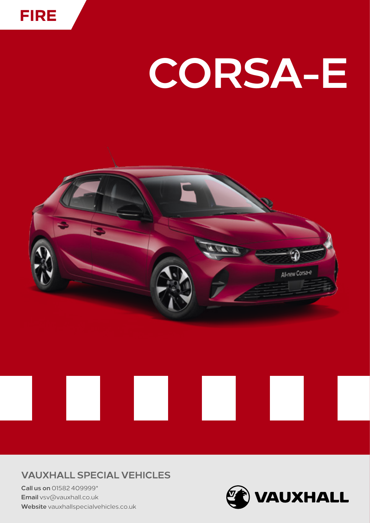

# **CORSA-E**



### **VAUXHALL SPECIAL VEHICLES**

Call us on 01582 409999\* Email vsv@vauxhall.co.uk Website vauxhallspecialvehicles.co.uk